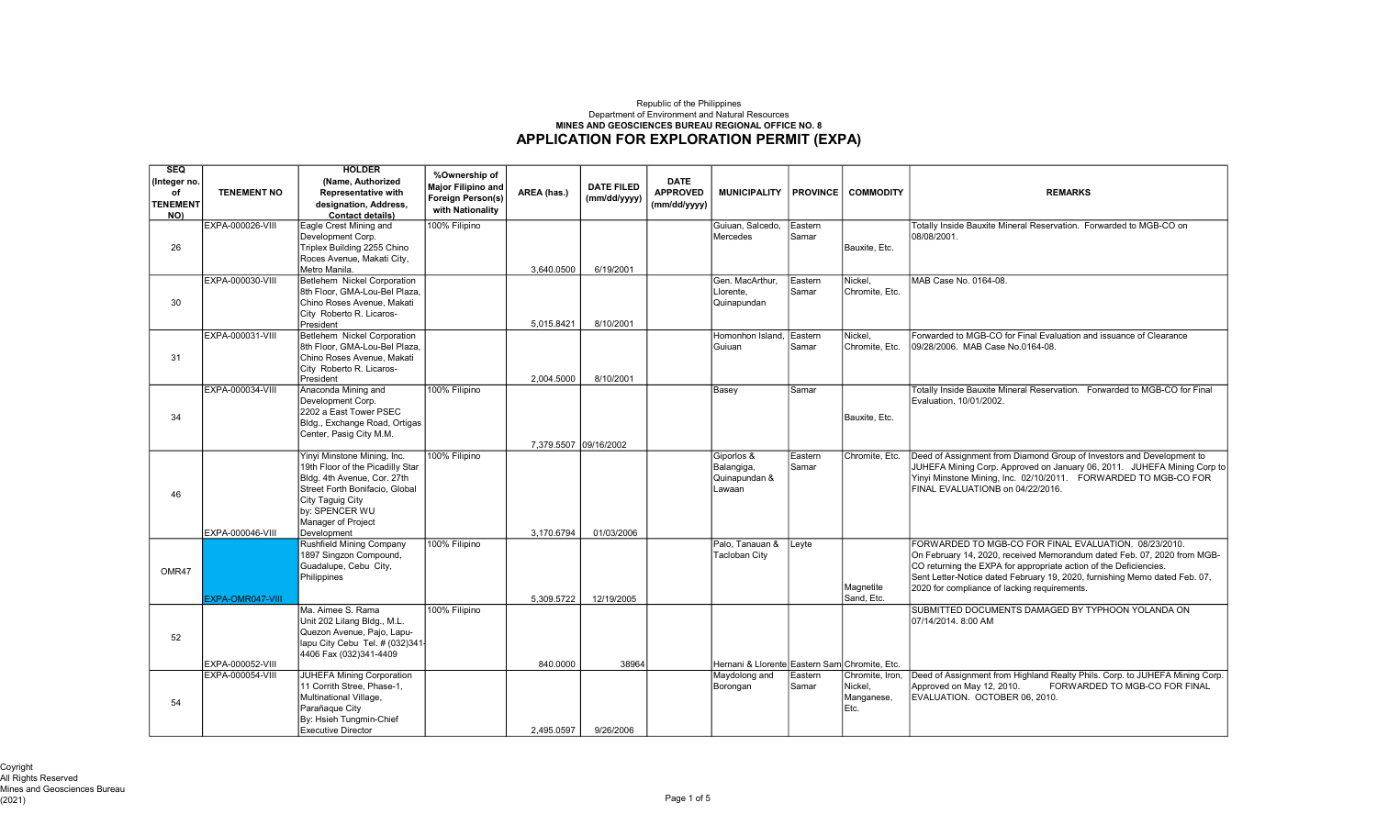## APPLICATION FOR EXPLORATION PERMIT (EXPA) Republic of the Philippines Department of Environment and Natural Resources MINES AND GEOSCIENCES BUREAU REGIONAL OFFICE NO. 8

| <b>SEQ</b><br>(Integer no.<br>οf | <b>TENEMENT NO</b> | <b>HOLDER</b><br>(Name, Authorized<br><b>Representative with</b> | %Ownership of<br><b>Major Filipino and</b> | AREA (has.)           | <b>DATE FILED</b> | <b>DATE</b><br><b>APPROVED</b> | <b>MUNICIPALITY</b>                           | <b>PROVINCE</b> | <b>COMMODITY</b>   | <b>REMARKS</b>                                                                                                                   |
|----------------------------------|--------------------|------------------------------------------------------------------|--------------------------------------------|-----------------------|-------------------|--------------------------------|-----------------------------------------------|-----------------|--------------------|----------------------------------------------------------------------------------------------------------------------------------|
| <b>TENEMENT</b><br>NO)           |                    | designation, Address,<br><b>Contact details)</b>                 | Foreign Person(s)<br>with Nationality      |                       | (mm/dd/yyyy)      | (mm/dd/yyyy)                   |                                               |                 |                    |                                                                                                                                  |
|                                  | EXPA-000026-VIII   | Eagle Crest Mining and                                           | 100% Filipino                              |                       |                   |                                | Guiuan, Salcedo,                              | Eastern         |                    | Totally Inside Bauxite Mineral Reservation. Forwarded to MGB-CO on                                                               |
|                                  |                    | Development Corp.                                                |                                            |                       |                   |                                | Mercedes                                      | Samar           |                    | 08/08/2001.                                                                                                                      |
| 26                               |                    | Triplex Building 2255 Chino<br>Roces Avenue, Makati City,        |                                            |                       |                   |                                |                                               |                 | Bauxite, Etc.      |                                                                                                                                  |
|                                  |                    | Metro Manila.                                                    |                                            | 3,640.0500            | 6/19/2001         |                                |                                               |                 |                    |                                                                                                                                  |
|                                  | EXPA-000030-VIII   | Betlehem Nickel Corporation                                      |                                            |                       |                   |                                | Gen. MacArthur.                               | Eastern         | Nickel.            | MAB Case No. 0164-08.                                                                                                            |
|                                  |                    | 8th Floor, GMA-Lou-Bel Plaza,                                    |                                            |                       |                   |                                | Llorente,                                     | Samar           | Chromite, Etc.     |                                                                                                                                  |
| 30                               |                    | Chino Roses Avenue, Makati                                       |                                            |                       |                   |                                | Quinapundan                                   |                 |                    |                                                                                                                                  |
|                                  |                    | City Roberto R. Licaros-                                         |                                            |                       |                   |                                |                                               |                 |                    |                                                                                                                                  |
|                                  | EXPA-000031-VIII   | President<br><b>Betlehem Nickel Corporation</b>                  |                                            | 5,015.8421            | 8/10/2001         |                                | Homonhon Island.                              | Eastern         | Nickel.            | Forwarded to MGB-CO for Final Evaluation and issuance of Clearance                                                               |
|                                  |                    | 8th Floor, GMA-Lou-Bel Plaza.                                    |                                            |                       |                   |                                | Guiuan                                        | Samar           | Chromite, Etc.     | 09/28/2006. MAB Case No.0164-08.                                                                                                 |
| 31                               |                    | Chino Roses Avenue, Makati                                       |                                            |                       |                   |                                |                                               |                 |                    |                                                                                                                                  |
|                                  |                    | City Roberto R. Licaros-                                         |                                            |                       |                   |                                |                                               |                 |                    |                                                                                                                                  |
|                                  |                    | President                                                        |                                            | 2.004.5000            | 8/10/2001         |                                |                                               |                 |                    |                                                                                                                                  |
|                                  | EXPA-000034-VIII   | Anaconda Mining and                                              | 100% Filipino                              |                       |                   |                                | Basey                                         | Samar           |                    | Totally Inside Bauxite Mineral Reservation. Forwarded to MGB-CO for Final                                                        |
|                                  |                    | Development Corp.<br>2202 a East Tower PSEC                      |                                            |                       |                   |                                |                                               |                 |                    | Evaluation, 10/01/2002.                                                                                                          |
| 34                               |                    | Bldg., Exchange Road, Ortigas                                    |                                            |                       |                   |                                |                                               |                 | Bauxite, Etc.      |                                                                                                                                  |
|                                  |                    | Center, Pasig City M.M.                                          |                                            |                       |                   |                                |                                               |                 |                    |                                                                                                                                  |
|                                  |                    |                                                                  |                                            | 7.379.5507 09/16/2002 |                   |                                |                                               |                 |                    |                                                                                                                                  |
|                                  |                    | Yinyi Minstone Mining, Inc.                                      | 100% Filipino                              |                       |                   |                                | Giporlos &                                    | Eastern         | Chromite, Etc.     | Deed of Assignment from Diamond Group of Investors and Development to                                                            |
|                                  |                    | 19th Floor of the Picadilly Star                                 |                                            |                       |                   |                                | Balangiga,                                    | Samar           |                    | JUHEFA Mining Corp. Approved on January 06, 2011. JUHEFA Mining Corp to                                                          |
|                                  |                    | Bldg. 4th Avenue, Cor. 27th<br>Street Forth Bonifacio, Global    |                                            |                       |                   |                                | Quinapundan &<br>Lawaan                       |                 |                    | Yinyi Minstone Mining, Inc. 02/10/2011. FORWARDED TO MGB-CO FOR<br>FINAL EVALUATIONB on 04/22/2016.                              |
| 46                               |                    | City Taguig City                                                 |                                            |                       |                   |                                |                                               |                 |                    |                                                                                                                                  |
|                                  |                    | by: SPENCER WU                                                   |                                            |                       |                   |                                |                                               |                 |                    |                                                                                                                                  |
|                                  |                    | Manager of Project                                               |                                            |                       |                   |                                |                                               |                 |                    |                                                                                                                                  |
|                                  | EXPA-000046-VIII   | Development                                                      |                                            | 3,170.6794            | 01/03/2006        |                                |                                               |                 |                    |                                                                                                                                  |
|                                  |                    | <b>Rushfield Mining Company</b><br>1897 Singzon Compound,        | 100% Filipino                              |                       |                   |                                | Palo, Tanauan &<br><b>Tacloban City</b>       | Leyte           |                    | FORWARDED TO MGB-CO FOR FINAL EVALUATION. 08/23/2010.<br>On February 14, 2020, received Memorandum dated Feb. 07, 2020 from MGB- |
|                                  |                    | Guadalupe, Cebu City,                                            |                                            |                       |                   |                                |                                               |                 |                    | CO returning the EXPA for appropriate action of the Deficiencies.                                                                |
| OMR47                            |                    | Philippines                                                      |                                            |                       |                   |                                |                                               |                 |                    | Sent Letter-Notice dated February 19, 2020, furnishing Memo dated Feb. 07,                                                       |
|                                  |                    |                                                                  |                                            |                       |                   |                                |                                               |                 | Magnetite          | 2020 for compliance of lacking requirements.                                                                                     |
|                                  | EXPA-OMR047-VIII   |                                                                  |                                            | 5.309.5722            | 12/19/2005        |                                |                                               |                 | Sand, Etc.         |                                                                                                                                  |
|                                  |                    | Ma. Aimee S. Rama                                                | 100% Filipino                              |                       |                   |                                |                                               |                 |                    | SUBMITTED DOCUMENTS DAMAGED BY TYPHOON YOLANDA ON                                                                                |
|                                  |                    | Unit 202 Lilang Bldg., M.L.<br>Quezon Avenue, Pajo, Lapu-        |                                            |                       |                   |                                |                                               |                 |                    | 07/14/2014, 8:00 AM                                                                                                              |
| 52                               |                    | lapu City Cebu Tel. # (032)341-                                  |                                            |                       |                   |                                |                                               |                 |                    |                                                                                                                                  |
|                                  |                    | 4406 Fax (032)341-4409                                           |                                            |                       |                   |                                |                                               |                 |                    |                                                                                                                                  |
|                                  | EXPA-000052-VIII   |                                                                  |                                            | 840.0000              | 38964             |                                | Hernani & Llorente Eastern Sam Chromite, Etc. |                 |                    |                                                                                                                                  |
|                                  | EXPA-000054-VIII   | <b>JUHEFA Mining Corporation</b>                                 |                                            |                       |                   |                                | Maydolong and                                 | Eastern         | Chromite, Iron,    | Deed of Assignment from Highland Realty Phils. Corp. to JUHEFA Mining Corp.                                                      |
|                                  |                    | 11 Corrith Stree, Phase-1,                                       |                                            |                       |                   |                                | Borongan                                      | Samar           | Nickel.            | Approved on May 12, 2010.<br>FORWARDED TO MGB-CO FOR FINAL                                                                       |
| 54                               |                    | Multinational Village,<br>Parañaque City                         |                                            |                       |                   |                                |                                               |                 | Manganese,<br>Etc. | EVALUATION. OCTOBER 06, 2010.                                                                                                    |
|                                  |                    | By: Hsieh Tungmin-Chief                                          |                                            |                       |                   |                                |                                               |                 |                    |                                                                                                                                  |
|                                  |                    | <b>Executive Director</b>                                        |                                            | 2,495.0597            | 9/26/2006         |                                |                                               |                 |                    |                                                                                                                                  |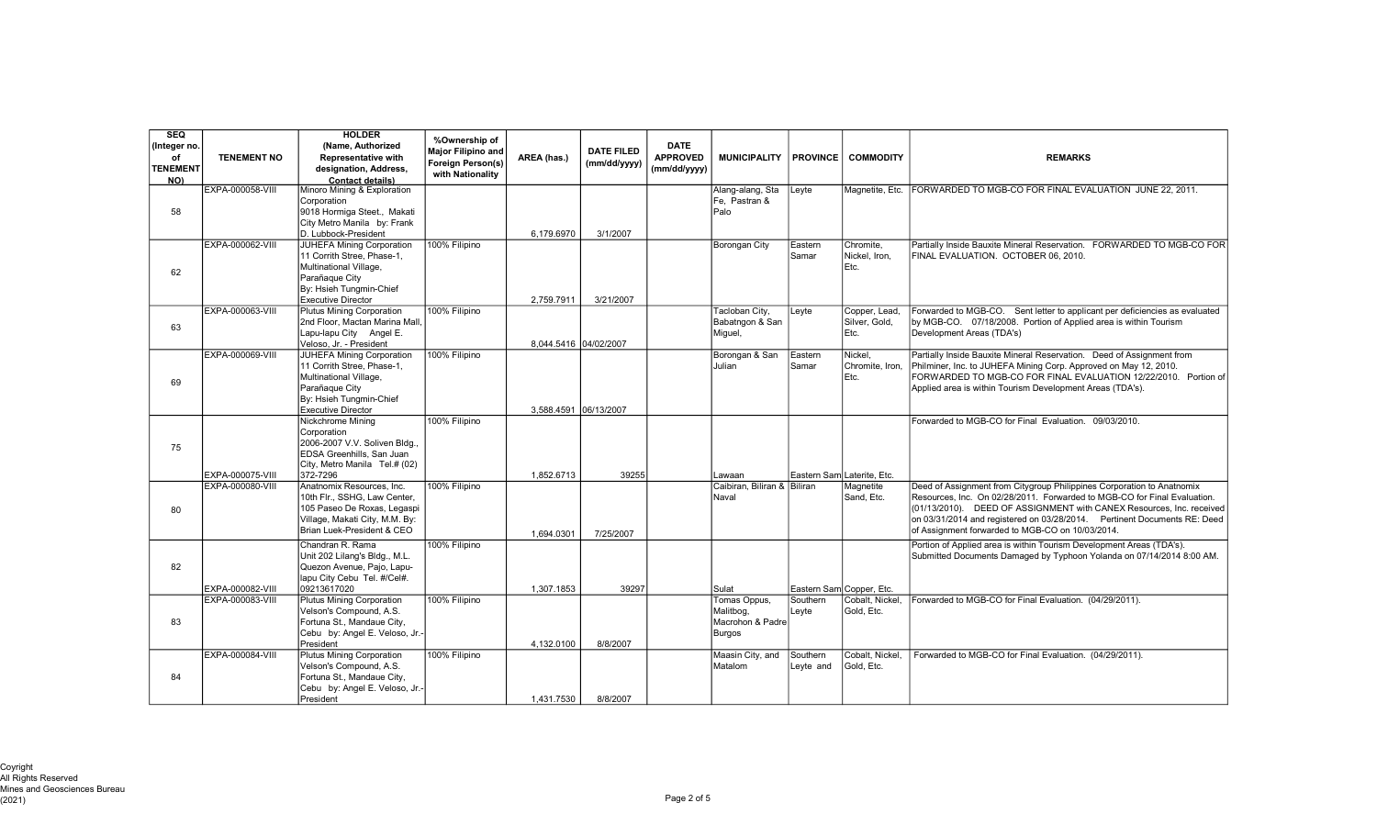| <b>SEQ</b><br>(Integer no.<br>of<br><b>TENEMENT</b><br>NO) | <b>TENEMENT NO</b> | <b>HOLDER</b><br>(Name, Authorized<br><b>Representative with</b><br>designation, Address,<br><b>Contact details)</b>                                               | %Ownership of<br><b>Major Filipino and</b><br>Foreign Person(s)<br>with Nationality | AREA (has.) | <b>DATE FILED</b><br>(mm/dd/yyyy) | <b>DATE</b><br><b>APPROVED</b><br>(mm/dd/yyyy) | <b>MUNICIPALITY</b>                                            | <b>PROVINCE</b>       | <b>COMMODITY</b>                       | <b>REMARKS</b>                                                                                                                                                                                                                                                                                                                                             |
|------------------------------------------------------------|--------------------|--------------------------------------------------------------------------------------------------------------------------------------------------------------------|-------------------------------------------------------------------------------------|-------------|-----------------------------------|------------------------------------------------|----------------------------------------------------------------|-----------------------|----------------------------------------|------------------------------------------------------------------------------------------------------------------------------------------------------------------------------------------------------------------------------------------------------------------------------------------------------------------------------------------------------------|
| 58                                                         | EXPA-000058-VIII   | Minoro Mining & Exploration<br>Corporation<br>9018 Hormiga Steet., Makati<br>City Metro Manila by: Frank<br>D. Lubbock-President                                   |                                                                                     | 6.179.6970  | 3/1/2007                          |                                                | Alang-alang, Sta<br>Fe. Pastran &<br>Palo                      | Leyte                 | Magnetite, Etc.                        | FORWARDED TO MGB-CO FOR FINAL EVALUATION JUNE 22, 2011.                                                                                                                                                                                                                                                                                                    |
| 62                                                         | EXPA-000062-VIII   | <b>JUHEFA Mining Corporation</b><br>11 Corrith Stree, Phase-1,<br>Multinational Village,<br>Parañaque City<br>By: Hsieh Tungmin-Chief<br><b>Executive Director</b> | 100% Filipino                                                                       | 2,759.7911  | 3/21/2007                         |                                                | <b>Borongan City</b>                                           | Eastern<br>Samar      | Chromite,<br>Nickel, Iron.<br>Etc.     | Partially Inside Bauxite Mineral Reservation. FORWARDED TO MGB-CO FOR<br>FINAL EVALUATION. OCTOBER 06, 2010.                                                                                                                                                                                                                                               |
| 63                                                         | EXPA-000063-VIII   | <b>Plutus Mining Corporation</b><br>2nd Floor, Mactan Marina Mall<br>Lapu-lapu City Angel E.<br>Veloso, Jr. - President                                            | 100% Filipino                                                                       |             | 8,044.5416 04/02/2007             |                                                | Tacloban City,<br>Babatngon & San<br>Miguel,                   | Leyte                 | Copper, Lead,<br>Silver, Gold.<br>Etc. | Forwarded to MGB-CO. Sent letter to applicant per deficiencies as evaluated<br>by MGB-CO. 07/18/2008. Portion of Applied area is within Tourism<br>Development Areas (TDA's)                                                                                                                                                                               |
| 69                                                         | EXPA-000069-VIII   | JUHEFA Mining Corporation<br>11 Corrith Stree, Phase-1,<br>Multinational Village,<br>Parañaque City<br>By: Hsieh Tungmin-Chief<br><b>Executive Director</b>        | 100% Filipino                                                                       |             | 3.588.4591 06/13/2007             |                                                | Borongan & San<br>Julian                                       | Eastern<br>Samar      | Nickel.<br>Chromite, Iron,<br>Etc.     | Partially Inside Bauxite Mineral Reservation. Deed of Assignment from<br>Philminer, Inc. to JUHEFA Mining Corp. Approved on May 12, 2010.<br>FORWARDED TO MGB-CO FOR FINAL EVALUATION 12/22/2010. Portion of<br>Applied area is within Tourism Development Areas (TDA's).                                                                                  |
| 75                                                         | EXPA-000075-VIII   | Nickchrome Mining<br>Corporation<br>2006-2007 V.V. Soliven Bldg<br>EDSA Greenhills, San Juan<br>City, Metro Manila Tel.# (02)<br>372-7296                          | 100% Filipino                                                                       | 1,852.6713  | 39255                             |                                                | Lawaan                                                         |                       | Eastern Sam Laterite, Etc.             | Forwarded to MGB-CO for Final Evaluation. 09/03/2010.                                                                                                                                                                                                                                                                                                      |
| 80                                                         | EXPA-000080-VIII   | Anatnomix Resources, Inc.<br>10th Flr., SSHG, Law Center,<br>105 Paseo De Roxas, Legaspi<br>Village, Makati City, M.M. By:<br>Brian Luek-President & CEO           | 100% Filipino                                                                       | 1,694.0301  | 7/25/2007                         |                                                | Caibiran, Biliran &<br>Naval                                   | Biliran               | Magnetite<br>Sand, Etc.                | Deed of Assignment from Citygroup Philippines Corporation to Anatnomix<br>Resources, Inc. On 02/28/2011. Forwarded to MGB-CO for Final Evaluation.<br>(01/13/2010). DEED OF ASSIGNMENT with CANEX Resources, Inc. received<br>on 03/31/2014 and registered on 03/28/2014. Pertinent Documents RE: Deed<br>of Assignment forwarded to MGB-CO on 10/03/2014. |
| 82                                                         | EXPA-000082-VIII   | Chandran R. Rama<br>Unit 202 Lilang's Bldg., M.L.<br>Quezon Avenue, Pajo, Lapu-<br>lapu City Cebu Tel. #/Cel#.<br>09213617020                                      | 100% Filipino                                                                       | 1.307.1853  | 39297                             |                                                | Sulat                                                          |                       | Eastern Sam Copper, Etc.               | Portion of Applied area is within Tourism Development Areas (TDA's).<br>Submitted Documents Damaged by Typhoon Yolanda on 07/14/2014 8:00 AM.                                                                                                                                                                                                              |
| 83                                                         | EXPA-000083-VIII   | <b>Plutus Mining Corporation</b><br>Velson's Compound, A.S.<br>Fortuna St., Mandaue City,<br>Cebu by: Angel E. Veloso, Jr.-<br>President                           | 100% Filipino                                                                       | 4,132.0100  | 8/8/2007                          |                                                | Tomas Oppus,<br>Malitbog,<br>Macrohon & Padre<br><b>Burgos</b> | Southern<br>Leyte     | Cobalt, Nickel<br>Gold, Etc.           | Forwarded to MGB-CO for Final Evaluation. (04/29/2011).                                                                                                                                                                                                                                                                                                    |
| 84                                                         | EXPA-000084-VIII   | Plutus Mining Corporation<br>Velson's Compound, A.S.<br>Fortuna St., Mandaue City,<br>Cebu by: Angel E. Veloso, Jr.-<br>President                                  | 100% Filipino                                                                       | 1.431.7530  | 8/8/2007                          |                                                | Maasin City, and<br>Matalom                                    | Southern<br>Leyte and | Cobalt, Nickel.<br>Gold, Etc.          | Forwarded to MGB-CO for Final Evaluation. (04/29/2011).                                                                                                                                                                                                                                                                                                    |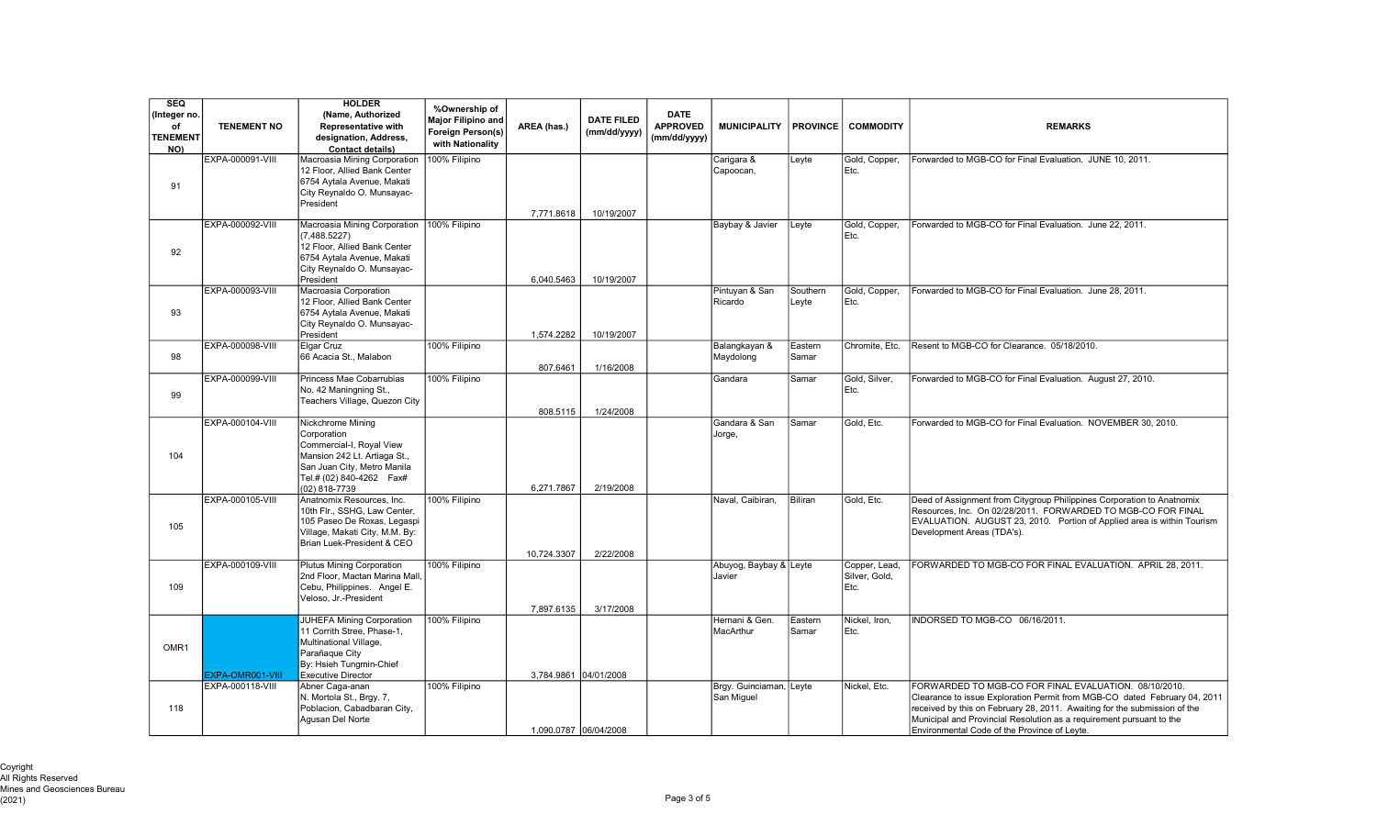| SEQ<br>(Integer no.<br>of<br><b>TENEMENT</b><br>NO) | <b>TENEMENT NO</b> | <b>HOLDER</b><br>(Name, Authorized<br><b>Representative with</b><br>designation, Address,<br><b>Contact details)</b>                                                        | %Ownership of<br>Major Filipino and<br>Foreign Person(s)<br>with Nationality | AREA (has.)           | <b>DATE FILED</b><br>(mm/dd/yyyy) | <b>DATE</b><br><b>APPROVED</b><br>(mm/dd/yyyy) | <b>MUNICIPALITY</b>                   | <b>PROVINCE</b>   | <b>COMMODITY</b>                       | <b>REMARKS</b>                                                                                                                                                                                                                                                                                                                          |
|-----------------------------------------------------|--------------------|-----------------------------------------------------------------------------------------------------------------------------------------------------------------------------|------------------------------------------------------------------------------|-----------------------|-----------------------------------|------------------------------------------------|---------------------------------------|-------------------|----------------------------------------|-----------------------------------------------------------------------------------------------------------------------------------------------------------------------------------------------------------------------------------------------------------------------------------------------------------------------------------------|
| 91                                                  | EXPA-000091-VIII   | Macroasia Mining Corporation<br>12 Floor, Allied Bank Center<br>6754 Aytala Avenue, Makati<br>City Reynaldo O. Munsayac-<br>President                                       | 100% Filipino                                                                | 7,771.8618            | 10/19/2007                        |                                                | Carigara &<br>Capoocan,               | Leyte             | Gold, Copper,<br>Etc.                  | Forwarded to MGB-CO for Final Evaluation. JUNE 10, 2011.                                                                                                                                                                                                                                                                                |
| 92                                                  | EXPA-000092-VIII   | Macroasia Mining Corporation<br>(7,488.5227)<br>12 Floor. Allied Bank Center<br>6754 Aytala Avenue, Makati<br>City Reynaldo O. Munsayac-<br>President                       | 100% Filipino                                                                | 6,040.5463            | 10/19/2007                        |                                                | Baybay & Javier                       | Leyte             | Gold, Copper,<br>Etc.                  | Forwarded to MGB-CO for Final Evaluation. June 22, 2011.                                                                                                                                                                                                                                                                                |
| 93                                                  | EXPA-000093-VIII   | Macroasia Corporation<br>12 Floor, Allied Bank Center<br>6754 Aytala Avenue, Makati<br>City Reynaldo O. Munsayac-<br>President                                              |                                                                              | 1,574.2282            | 10/19/2007                        |                                                | Pintuyan & San<br>Ricardo             | Southern<br>Leyte | Gold, Copper,<br>Etc.                  | Forwarded to MGB-CO for Final Evaluation. June 28, 2011.                                                                                                                                                                                                                                                                                |
| 98                                                  | EXPA-000098-VIII   | <b>Elgar Cruz</b><br>66 Acacia St., Malabon                                                                                                                                 | 100% Filipino                                                                | 807.6461              | 1/16/2008                         |                                                | Balangkayan &<br>Maydolong            | Eastern<br>Samar  | Chromite, Etc.                         | Resent to MGB-CO for Clearance. 05/18/2010.                                                                                                                                                                                                                                                                                             |
| 99                                                  | EXPA-000099-VIII   | Princess Mae Cobarrubias<br>No. 42 Maningning St.,<br>Teachers Village, Quezon City                                                                                         | 100% Filipino                                                                | 808.5115              | 1/24/2008                         |                                                | Gandara                               | lSamar            | Gold, Silver,<br>Etc.                  | Forwarded to MGB-CO for Final Evaluation. August 27, 2010.                                                                                                                                                                                                                                                                              |
| 104                                                 | EXPA-000104-VIII   | Nickchrome Mining<br>Corporation<br>Commercial-I, Royal View<br>Mansion 242 Lt. Artiaga St.,<br>San Juan City, Metro Manila<br>Tel.# (02) 840-4262    Fax#<br>(02) 818-7739 |                                                                              | 6,271.7867            | 2/19/2008                         |                                                | Gandara & San<br>Jorge,               | Samar             | Gold, Etc.                             | Forwarded to MGB-CO for Final Evaluation. NOVEMBER 30, 2010.                                                                                                                                                                                                                                                                            |
| 105                                                 | EXPA-000105-VIII   | Anatnomix Resources, Inc.<br>10th Flr., SSHG, Law Center,<br>105 Paseo De Roxas, Legaspi<br>Village, Makati City, M.M. By:<br>Brian Luek-President & CEO                    | 100% Filipino                                                                | 10,724.3307           | 2/22/2008                         |                                                | Naval, Caibiran,                      | Biliran           | Gold, Etc.                             | Deed of Assignment from Citygroup Philippines Corporation to Anatnomix<br>Resources, Inc. On 02/28/2011. FORWARDED TO MGB-CO FOR FINAL<br>EVALUATION. AUGUST 23, 2010. Portion of Applied area is within Tourism<br>Development Areas (TDA's).                                                                                          |
| 109                                                 | EXPA-000109-VIII   | Plutus Mining Corporation<br>2nd Floor, Mactan Marina Mall<br>Cebu, Philippines. Angel E.<br>Veloso, Jr.-President                                                          | 100% Filipino                                                                | 7,897.6135            | 3/17/2008                         |                                                | Abuyog, Baybay & Leyte<br>Javier      |                   | Copper, Lead,<br>Silver, Gold,<br>Etc. | FORWARDED TO MGB-CO FOR FINAL EVALUATION. APRIL 28, 2011.                                                                                                                                                                                                                                                                               |
| OMR <sub>1</sub>                                    | EXPA-OMR001-VIII   | JUHEFA Mining Corporation<br>11 Corrith Stree, Phase-1,<br>Multinational Village,<br>Parañaque City<br>By: Hsieh Tunamin-Chief<br><b>Executive Director</b>                 | 100% Filipino                                                                | 3.784.9861 04/01/2008 |                                   |                                                | Hernani & Gen.<br>MacArthur           | Eastern<br>lSamar | Nickel, Iron,<br>Etc.                  | INDORSED TO MGB-CO 06/16/2011.                                                                                                                                                                                                                                                                                                          |
| 118                                                 | EXPA-000118-VIII   | Abner Caga-anan<br>N. Mortola St., Brgy. 7,<br>Poblacion, Cabadbaran City,<br>Agusan Del Norte                                                                              | 100% Filipino                                                                | 1.090.0787 06/04/2008 |                                   |                                                | Brgy. Guinciaman, Leyte<br>San Miguel |                   | Nickel, Etc.                           | FORWARDED TO MGB-CO FOR FINAL EVALUATION. 08/10/2010.<br>Clearance to issue Exploration Permit from MGB-CO dated February 04, 2011<br>received by this on February 28, 2011. Awaiting for the submission of the<br>Municipal and Provincial Resolution as a requirement pursuant to the<br>Environmental Code of the Province of Leyte. |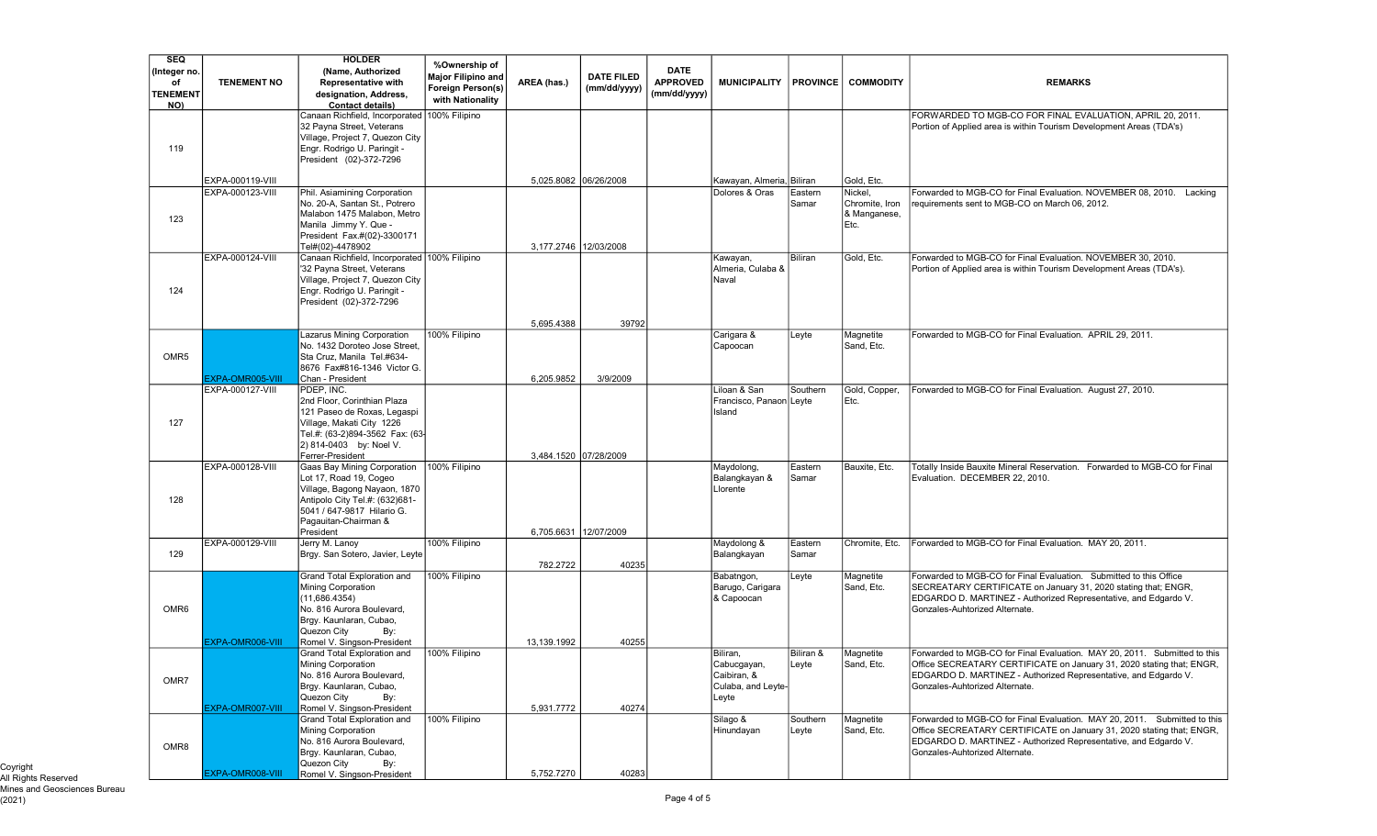| <b>SEQ</b>            |                         | <b>HOLDER</b>                                                              | %Ownership of            |                       |                   |                                 |                               |                   |                                |                                                                                                                                                    |
|-----------------------|-------------------------|----------------------------------------------------------------------------|--------------------------|-----------------------|-------------------|---------------------------------|-------------------------------|-------------------|--------------------------------|----------------------------------------------------------------------------------------------------------------------------------------------------|
| (Integer no.          |                         | (Name, Authorized                                                          | Major Filipino and       |                       | <b>DATE FILED</b> | <b>DATE</b>                     |                               |                   |                                |                                                                                                                                                    |
| of<br><b>TENEMENT</b> | <b>TENEMENT NO</b>      | <b>Representative with</b><br>designation, Address,                        | <b>Foreign Person(s)</b> | AREA (has.)           | (mm/dd/yyyy)      | <b>APPROVED</b><br>(mm/dd/yyyy) | <b>MUNICIPALITY</b>           | <b>PROVINCE</b>   | <b>COMMODITY</b>               | <b>REMARKS</b>                                                                                                                                     |
| NO)                   |                         | <b>Contact details)</b>                                                    | with Nationality         |                       |                   |                                 |                               |                   |                                |                                                                                                                                                    |
|                       |                         | Canaan Richfield, Incorporated                                             | 100% Filipino            |                       |                   |                                 |                               |                   |                                | FORWARDED TO MGB-CO FOR FINAL EVALUATION, APRIL 20, 2011.                                                                                          |
|                       |                         | 32 Payna Street, Veterans                                                  |                          |                       |                   |                                 |                               |                   |                                | Portion of Applied area is within Tourism Development Areas (TDA's)                                                                                |
| 119                   |                         | Village, Project 7, Quezon City<br>Engr. Rodrigo U. Paringit -             |                          |                       |                   |                                 |                               |                   |                                |                                                                                                                                                    |
|                       |                         | President (02)-372-7296                                                    |                          |                       |                   |                                 |                               |                   |                                |                                                                                                                                                    |
|                       |                         |                                                                            |                          |                       |                   |                                 |                               |                   |                                |                                                                                                                                                    |
|                       | EXPA-000119-VIII        |                                                                            |                          | 5,025.8082 06/26/2008 |                   |                                 | Kawayan, Almeria, Biliran     |                   | Gold, Etc.                     |                                                                                                                                                    |
|                       | EXPA-000123-VIII        | Phil. Asiamining Corporation                                               |                          |                       |                   |                                 | Dolores & Oras                | Eastern           | Nickel                         | Forwarded to MGB-CO for Final Evaluation. NOVEMBER 08, 2010. Lacking                                                                               |
|                       |                         | No. 20-A, Santan St., Potrero<br>Malabon 1475 Malabon, Metro               |                          |                       |                   |                                 |                               | Samar             | Chromite, Iron<br>& Manganese, | requirements sent to MGB-CO on March 06, 2012.                                                                                                     |
| 123                   |                         | Manila Jimmy Y. Que -                                                      |                          |                       |                   |                                 |                               |                   | Etc.                           |                                                                                                                                                    |
|                       |                         | President Fax.#(02)-3300171                                                |                          |                       |                   |                                 |                               |                   |                                |                                                                                                                                                    |
|                       |                         | Tel#(02)-4478902                                                           |                          | 3,177.2746 12/03/2008 |                   |                                 |                               |                   |                                |                                                                                                                                                    |
|                       | EXPA-000124-VIII        | Canaan Richfield, Incorporated 100% Filipino<br>'32 Payna Street, Veterans |                          |                       |                   |                                 | Kawayan,<br>Almeria, Culaba & | Biliran           | Gold, Etc.                     | Forwarded to MGB-CO for Final Evaluation. NOVEMBER 30, 2010.<br>Portion of Applied area is within Tourism Development Areas (TDA's).               |
|                       |                         | Village, Project 7, Quezon City                                            |                          |                       |                   |                                 | Naval                         |                   |                                |                                                                                                                                                    |
| 124                   |                         | Engr. Rodrigo U. Paringit -                                                |                          |                       |                   |                                 |                               |                   |                                |                                                                                                                                                    |
|                       |                         | President (02)-372-7296                                                    |                          |                       |                   |                                 |                               |                   |                                |                                                                                                                                                    |
|                       |                         |                                                                            |                          | 5,695.4388            | 39792             |                                 |                               |                   |                                |                                                                                                                                                    |
|                       |                         | azarus Mining Corporation                                                  | 100% Filipino            |                       |                   |                                 | Carigara &                    | Leyte             | Magnetite                      | Forwarded to MGB-CO for Final Evaluation. APRIL 29, 2011.                                                                                          |
|                       |                         | No. 1432 Doroteo Jose Street,                                              |                          |                       |                   |                                 | Capoocan                      |                   | Sand, Etc.                     |                                                                                                                                                    |
| OMR <sub>5</sub>      |                         | Sta Cruz. Manila Tel.#634-                                                 |                          |                       |                   |                                 |                               |                   |                                |                                                                                                                                                    |
|                       | EXPA-OMR005-VIII        | 8676 Fax#816-1346 Victor G.<br>Chan - President                            |                          | 6,205.9852            | 3/9/2009          |                                 |                               |                   |                                |                                                                                                                                                    |
|                       | EXPA-000127-VIII        | PDEP. INC.                                                                 |                          |                       |                   |                                 | Liloan & San                  | Southern          | Gold, Copper,                  | Forwarded to MGB-CO for Final Evaluation. August 27, 2010.                                                                                         |
|                       |                         | 2nd Floor, Corinthian Plaza                                                |                          |                       |                   |                                 | Francisco, Panaon             | Leyte             | Etc.                           |                                                                                                                                                    |
|                       |                         | 121 Paseo de Roxas, Legaspi                                                |                          |                       |                   |                                 | Island                        |                   |                                |                                                                                                                                                    |
| 127                   |                         | Village, Makati City 1226<br>Tel.#: (63-2)894-3562 Fax: (63-               |                          |                       |                   |                                 |                               |                   |                                |                                                                                                                                                    |
|                       |                         | 2) 814-0403 by: Noel V.                                                    |                          |                       |                   |                                 |                               |                   |                                |                                                                                                                                                    |
|                       |                         | Ferrer-President                                                           |                          | 3,484.1520 07/28/2009 |                   |                                 |                               |                   |                                |                                                                                                                                                    |
|                       | EXPA-000128-VIII        | Gaas Bay Mining Corporation<br>Lot 17, Road 19, Cogeo                      | 100% Filipino            |                       |                   |                                 | Maydolong,<br>Balangkayan &   | Eastern<br>Samar  | Bauxite, Etc.                  | Totally Inside Bauxite Mineral Reservation. Forwarded to MGB-CO for Final<br>Evaluation. DECEMBER 22, 2010.                                        |
|                       |                         | Village, Bagong Nayaon, 1870                                               |                          |                       |                   |                                 | Llorente                      |                   |                                |                                                                                                                                                    |
| 128                   |                         | Antipolo City Tel.#: (632)681-                                             |                          |                       |                   |                                 |                               |                   |                                |                                                                                                                                                    |
|                       |                         | 5041 / 647-9817 Hilario G.                                                 |                          |                       |                   |                                 |                               |                   |                                |                                                                                                                                                    |
|                       |                         | Pagauitan-Chairman &<br>President                                          |                          | 6,705.6631 12/07/2009 |                   |                                 |                               |                   |                                |                                                                                                                                                    |
|                       | EXPA-000129-VIII        | Jerry M. Lanoy                                                             | 100% Filipino            |                       |                   |                                 | Maydolong &                   | Eastern           | Chromite, Etc.                 | Forwarded to MGB-CO for Final Evaluation. MAY 20, 2011.                                                                                            |
| 129                   |                         | Brgy. San Sotero, Javier, Leyte                                            |                          |                       |                   |                                 | Balangkayan                   | Samar             |                                |                                                                                                                                                    |
|                       |                         | Grand Total Exploration and                                                | 100% Filipino            | 782.2722              | 40235             |                                 | Babatngon,                    | Leyte             | Magnetite                      | Forwarded to MGB-CO for Final Evaluation. Submitted to this Office                                                                                 |
|                       |                         | Mining Corporation                                                         |                          |                       |                   |                                 | Barugo, Carigara              |                   | Sand, Etc.                     | SECREATARY CERTIFICATE on January 31, 2020 stating that; ENGR,                                                                                     |
|                       |                         | (11.686.4354)                                                              |                          |                       |                   |                                 | & Capoocan                    |                   |                                | EDGARDO D. MARTINEZ - Authorized Representative, and Edgardo V.                                                                                    |
| OMR <sub>6</sub>      |                         | No. 816 Aurora Boulevard,                                                  |                          |                       |                   |                                 |                               |                   |                                | Gonzales-Auhtorized Alternate.                                                                                                                     |
|                       |                         | Brgy. Kaunlaran, Cubao,<br>Quezon City<br>By:                              |                          |                       |                   |                                 |                               |                   |                                |                                                                                                                                                    |
|                       | EXPA-OMR006-VIII        | Romel V. Singson-President                                                 |                          | 13.139.1992           | 40255             |                                 |                               |                   |                                |                                                                                                                                                    |
|                       |                         | Grand Total Exploration and                                                | 100% Filipino            |                       |                   |                                 | Biliran,                      | Biliran &         | Magnetite                      | Forwarded to MGB-CO for Final Evaluation. MAY 20, 2011. Submitted to this                                                                          |
|                       |                         | Mining Corporation<br>No. 816 Aurora Boulevard,                            |                          |                       |                   |                                 | Cabucgayan,<br>Caibiran, &    | Leyte             | Sand, Etc.                     | Office SECREATARY CERTIFICATE on January 31, 2020 stating that; ENGR,<br>EDGARDO D. MARTINEZ - Authorized Representative, and Edgardo V.           |
| OMR7                  |                         | Brgy. Kaunlaran, Cubao,                                                    |                          |                       |                   |                                 | Culaba, and Leyte-            |                   |                                | Gonzales-Auhtorized Alternate.                                                                                                                     |
|                       |                         | Quezon City<br>By:                                                         |                          |                       |                   |                                 | Leyte                         |                   |                                |                                                                                                                                                    |
|                       | <b>EXPA-OMR007-VIII</b> | Romel V. Singson-President                                                 |                          | 5,931.7772            | 40274             |                                 |                               |                   |                                |                                                                                                                                                    |
|                       |                         | Grand Total Exploration and<br>Mining Corporation                          | 100% Filipino            |                       |                   |                                 | Silago &<br>Hinundayan        | Southern<br>Leyte | Magnetite<br>Sand, Etc.        | Forwarded to MGB-CO for Final Evaluation, MAY 20, 2011. Submitted to this<br>Office SECREATARY CERTIFICATE on January 31, 2020 stating that; ENGR, |
|                       |                         | No. 816 Aurora Boulevard,                                                  |                          |                       |                   |                                 |                               |                   |                                | EDGARDO D. MARTINEZ - Authorized Representative, and Edgardo V.                                                                                    |
| OMR8                  |                         | Brgy. Kaunlaran, Cubao,                                                    |                          |                       |                   |                                 |                               |                   |                                | Gonzales-Auhtorized Alternate.                                                                                                                     |
|                       |                         | Quezon City<br>By:                                                         |                          |                       |                   |                                 |                               |                   |                                |                                                                                                                                                    |
|                       | EXPA-OMR008-VIII        | Romel V. Singson-President                                                 |                          | 5,752.7270            | 40283             |                                 |                               |                   |                                |                                                                                                                                                    |

Coyright All Rights Reserved Mines and Geosciences Bureau (2021) Page 4 of 5